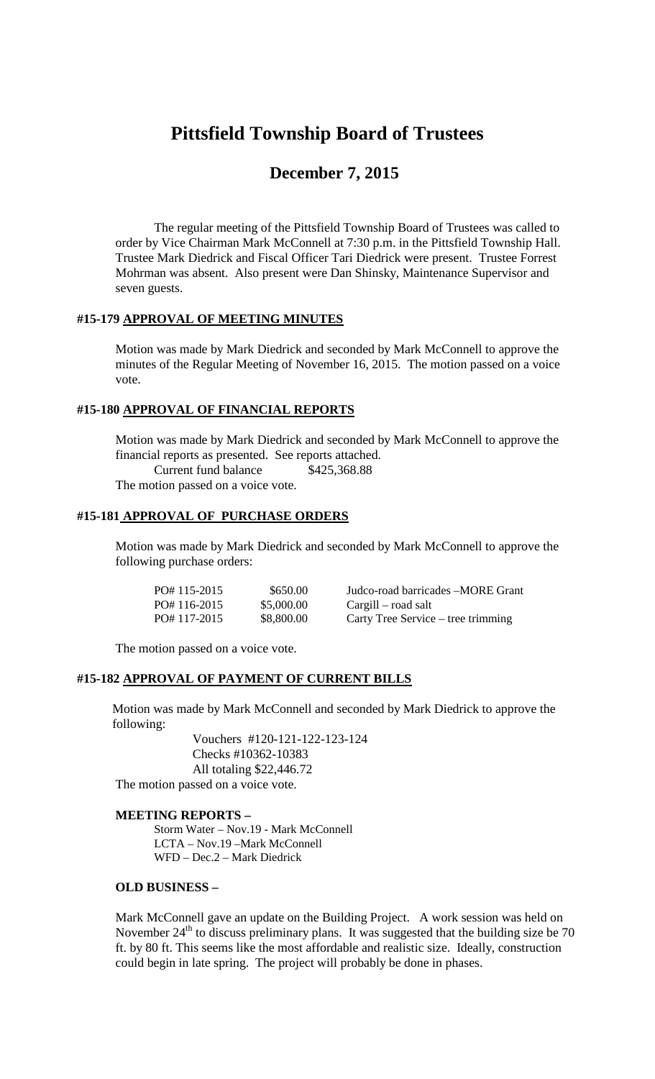# **Pittsfield Township Board of Trustees**

## **December 7, 2015**

The regular meeting of the Pittsfield Township Board of Trustees was called to order by Vice Chairman Mark McConnell at 7:30 p.m. in the Pittsfield Township Hall. Trustee Mark Diedrick and Fiscal Officer Tari Diedrick were present. Trustee Forrest Mohrman was absent. Also present were Dan Shinsky, Maintenance Supervisor and seven guests.

#### **#15-179 APPROVAL OF MEETING MINUTES**

Motion was made by Mark Diedrick and seconded by Mark McConnell to approve the minutes of the Regular Meeting of November 16, 2015. The motion passed on a voice vote.

#### **#15-180 APPROVAL OF FINANCIAL REPORTS**

Motion was made by Mark Diedrick and seconded by Mark McConnell to approve the financial reports as presented. See reports attached. Current fund balance \$425,368.88 The motion passed on a voice vote.

#### **#15-181 APPROVAL OF PURCHASE ORDERS**

Motion was made by Mark Diedrick and seconded by Mark McConnell to approve the following purchase orders:

| $PO#115-2015$ | \$650.00   | Judco-road barricades – MORE Grant |
|---------------|------------|------------------------------------|
| PO#116-2015   | \$5,000.00 | Cargill – road salt                |
| PO#117-2015   | \$8,800.00 | Carty Tree Service – tree trimming |

The motion passed on a voice vote.

## **#15-182 APPROVAL OF PAYMENT OF CURRENT BILLS**

Motion was made by Mark McConnell and seconded by Mark Diedrick to approve the following:

Vouchers #120-121-122-123-124 Checks #10362-10383 All totaling \$22,446.72 The motion passed on a voice vote.

#### **MEETING REPORTS –**

Storm Water – Nov.19 - Mark McConnell LCTA – Nov.19 –Mark McConnell WFD – Dec.2 – Mark Diedrick

#### **OLD BUSINESS –**

Mark McConnell gave an update on the Building Project. A work session was held on November  $24<sup>th</sup>$  to discuss preliminary plans. It was suggested that the building size be 70 ft. by 80 ft. This seems like the most affordable and realistic size. Ideally, construction could begin in late spring. The project will probably be done in phases.